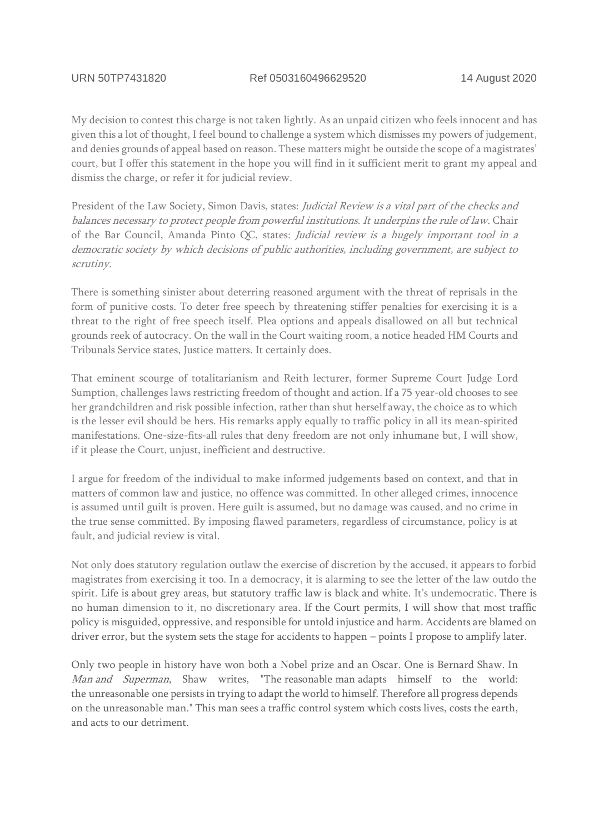My decision to contest this charge is not taken lightly. As an unpaid citizen who feels innocent and has given this a lot of thought, I feel bound to challenge a system which dismisses my powers of judgement, and denies grounds of appeal based on reason. These matters might be outside the scope of a magistrates' court, but I offer this statement in the hope you will find in it sufficient merit to grant my appeal and dismiss the charge, or refer it for judicial review.

President of the Law Society, Simon Davis, states: Judicial Review is a vital part of the checks and balances necessary to protect people from powerful institutions. It underpins the rule of law. Chair of the Bar Council, Amanda Pinto QC, states: Judicial review is a hugely important tool in a democratic society by which decisions of public authorities, including government, are subject to scrutiny.

There is something sinister about deterring reasoned argument with the threat of reprisals in the form of punitive costs. To deter free speech by threatening stiffer penalties for exercising it is a threat to the right of free speech itself. Plea options and appeals disallowed on all but technical grounds reek of autocracy. On the wall in the Court waiting room, a notice headed HM Courts and Tribunals Service states, Justice matters. It certainly does.

That eminent scourge of totalitarianism and Reith lecturer, former Supreme Court Judge Lord Sumption, challenges laws restricting freedom of thought and action. If a 75 year-old chooses to see her grandchildren and risk possible infection, rather than shut herself away, the choice as to which is the lesser evil should be hers. His remarks apply equally to traffic policy in all its mean-spirited manifestations. One-size-fits-all rules that deny freedom are not only inhumane but, I will show, if it please the Court, unjust, inefficient and destructive.

I argue for freedom of the individual to make informed judgements based on context, and that in matters of common law and justice, no offence was committed. In other alleged crimes, innocence is assumed until guilt is proven. Here guilt is assumed, but no damage was caused, and no crime in the true sense committed. By imposing flawed parameters, regardless of circumstance, policy is at fault, and judicial review is vital.

Not only does statutory regulation outlaw the exercise of discretion by the accused, it appears to forbid magistrates from exercising it too. In a democracy, it is alarming to see the letter of the law outdo the spirit. Life is about grey areas, but statutory traffic law is black and white. It's undemocratic. There is no human dimension to it, no discretionary area. If the Court permits, I will show that most traffic policy is misguided, oppressive, and responsible for untold injustice and harm. Accidents are blamed on driver error, but the system sets the stage for accidents to happen – points I propose to amplify later.

Only two people in history have won both a Nobel prize and an Oscar. One is Bernard Shaw. In Man and Superman, Shaw writes, "The reasonable man adapts himself to the world: the unreasonable one persists in trying to adapt the world to himself. Therefore all progress depends on the unreasonable man." This man sees a traffic control system which costs lives, costs the earth, and acts to our detriment.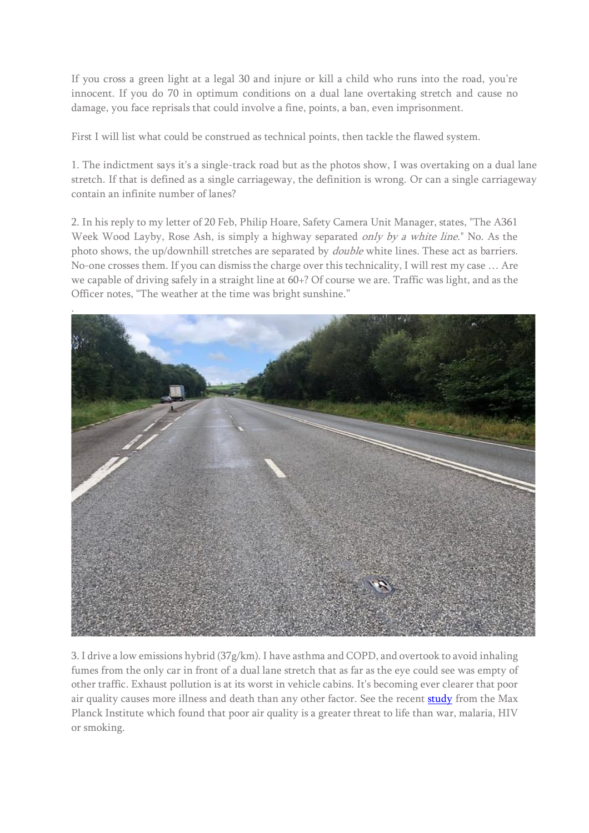If you cross a green light at a legal 30 and injure or kill a child who runs into the road, you're innocent. If you do 70 in optimum conditions on a dual lane overtaking stretch and cause no damage, you face reprisals that could involve a fine, points, a ban, even imprisonment.

First I will list what could be construed as technical points, then tackle the flawed system.

1. The indictment says it's a single-track road but as the photos show, I was overtaking on a dual lane stretch. If that is defined as a single carriageway, the definition is wrong. Or can a single carriageway contain an infinite number of lanes?

2. In his reply to my letter of 20 Feb, Philip Hoare, Safety Camera Unit Manager, states, "The A361 Week Wood Layby, Rose Ash, is simply a highway separated *only by a white line*." No. As the photo shows, the up/downhill stretches are separated by *double* white lines. These act as barriers. No-one crosses them. If you can dismiss the charge over this technicality, I will rest my case … Are we capable of driving safely in a straight line at 60+? Of course we are. Traffic was light, and as the Officer notes, "The weather at the time was bright sunshine."



3. I drive a low emissions hybrid (37g/km). I have asthma and COPD, and overtook to avoid inhaling fumes from the only car in front of a dual lane stretch that as far as the eye could see was empty of other traffic. Exhaust pollution is at its worst in vehicle cabins. It's becoming ever clearer that poor air quality causes more illness and death than any other factor. See the recent **study** from the Max Planck Institute which found that poor air quality is a greater threat to life than war, malaria, HIV or smoking.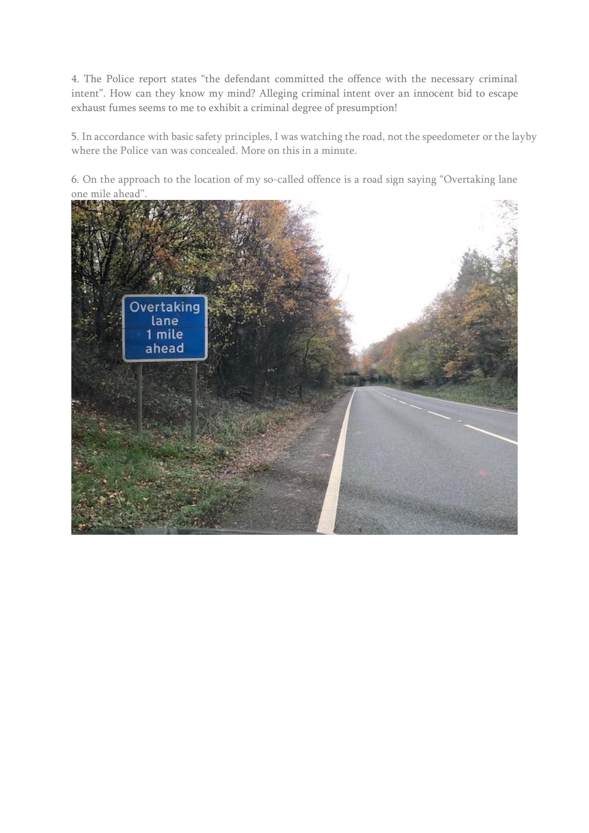4. The Police report states "the defendant committed the offence with the necessary criminal intent". How can they know my mind? Alleging criminal intent over an innocent bid to escape exhaust fumes seems to me to exhibit a criminal degree of presumption!

5. In accordance with basic safety principles, I was watching the road, not the speedometer or the layby where the Police van was concealed. More on this in a minute.

6. On the approach to the location of my so-called offence is a road sign saying "Overtaking lane one mile ahead".

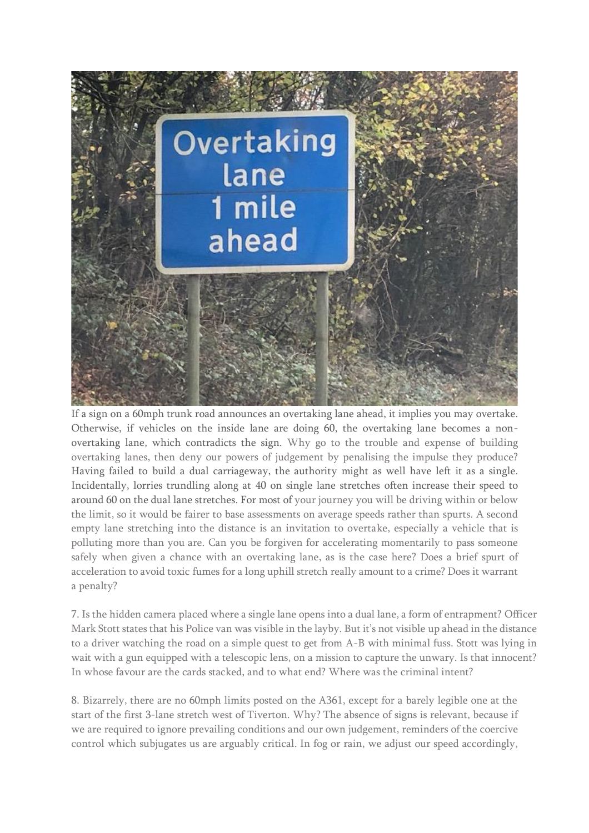

If a sign on a 60mph trunk road announces an overtaking lane ahead, it implies you may overtake. Otherwise, if vehicles on the inside lane are doing 60, the overtaking lane becomes a nonovertaking lane, which contradicts the sign. Why go to the trouble and expense of building overtaking lanes, then deny our powers of judgement by penalising the impulse they produce? Having failed to build a dual carriageway, the authority might as well have left it as a single. Incidentally, lorries trundling along at 40 on single lane stretches often increase their speed to around 60 on the dual lane stretches. For most of your journey you will be driving within or below the limit, so it would be fairer to base assessments on average speeds rather than spurts. A second empty lane stretching into the distance is an invitation to overtake, especially a vehicle that is polluting more than you are. Can you be forgiven for accelerating momentarily to pass someone safely when given a chance with an overtaking lane, as is the case here? Does a brief spurt of acceleration to avoid toxic fumes for a long uphill stretch really amount to a crime? Does it warrant a penalty?

7. Is the hidden camera placed where a single lane opens into a dual lane, a form of entrapment? Officer Mark Stott states that his Police van was visible in the layby. But it's not visible up ahead in the distance to a driver watching the road on a simple quest to get from A-B with minimal fuss. Stott was lying in wait with a gun equipped with a telescopic lens, on a mission to capture the unwary. Is that innocent? In whose favour are the cards stacked, and to what end? Where was the criminal intent?

8. Bizarrely, there are no 60mph limits posted on the A361, except for a barely legible one at the start of the first 3-lane stretch west of Tiverton. Why? The absence of signs is relevant, because if we are required to ignore prevailing conditions and our own judgement, reminders of the coercive control which subjugates us are arguably critical. In fog or rain, we adjust our speed accordingly,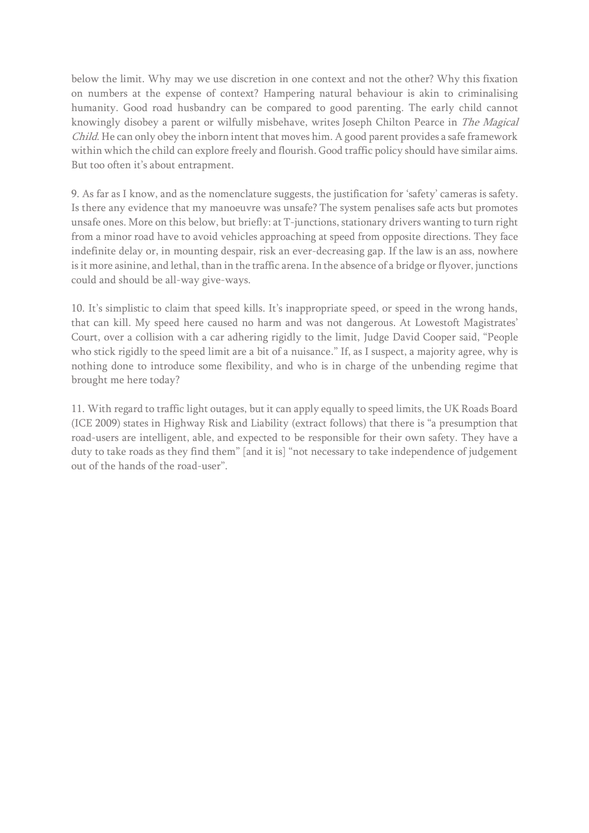below the limit. Why may we use discretion in one context and not the other? Why this fixation on numbers at the expense of context? Hampering natural behaviour is akin to criminalising humanity. Good road husbandry can be compared to good parenting. The early child cannot knowingly disobey a parent or wilfully misbehave, writes Joseph Chilton Pearce in The Magical Child. He can only obey the inborn intent that moves him. A good parent provides a safe framework within which the child can explore freely and flourish. Good traffic policy should have similar aims. But too often it's about entrapment.

9. As far as I know, and as the nomenclature suggests, the justification for 'safety' cameras is safety. Is there any evidence that my manoeuvre was unsafe? The system penalises safe acts but promotes unsafe ones. More on this below, but briefly: at T-junctions, stationary drivers wanting to turn right from a minor road have to avoid vehicles approaching at speed from opposite directions. They face indefinite delay or, in mounting despair, risk an ever-decreasing gap. If the law is an ass, nowhere is it more asinine, and lethal, than in the traffic arena. In the absence of a bridge or flyover, junctions could and should be all-way give-ways.

10. It's simplistic to claim that speed kills. It's inappropriate speed, or speed in the wrong hands, that can kill. My speed here caused no harm and was not dangerous. At Lowestoft Magistrates' Court, over a collision with a car adhering rigidly to the limit, Judge David Cooper said, "People who stick rigidly to the speed limit are a bit of a nuisance." If, as I suspect, a majority agree, why is nothing done to introduce some flexibility, and who is in charge of the unbending regime that brought me here today?

11. With regard to traffic light outages, but it can apply equally to speed limits, the UK Roads Board (ICE 2009) states in Highway Risk and Liability (extract follows) that there is "a presumption that road-users are intelligent, able, and expected to be responsible for their own safety. They have a duty to take roads as they find them" [and it is] "not necessary to take independence of judgement out of the hands of the road-user".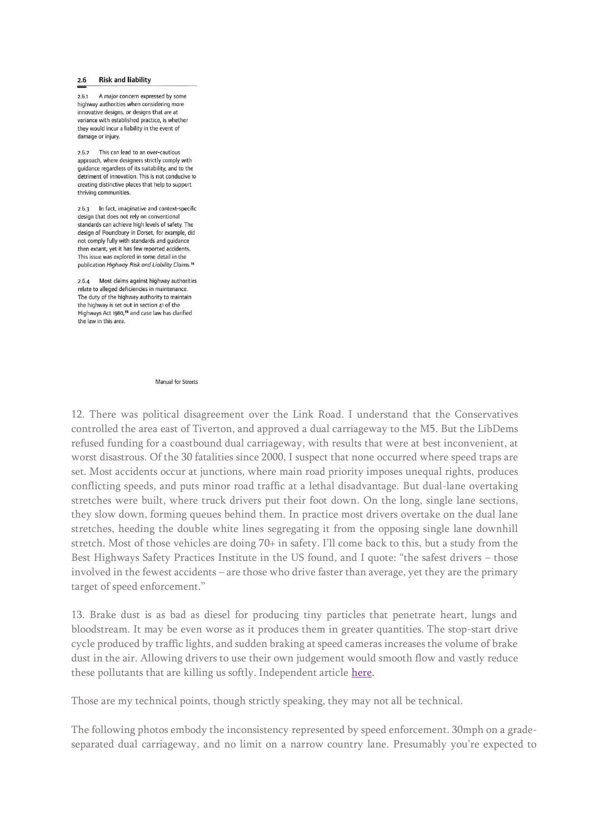## **Risk and liability**  $2.6$

2.6.1 A major concern expressed by some highway authorities when considering more innovative designs, or designs that are at variance with established practice, is whether they would incur a liability in the event of damage or injury.

2.6.2 This can lead to an over-cautious approach, where designers strictly comply with quidance regardless of its suitability, and to the detriment of innovation. This is not conducive to creating distinctive places that help to support thriving communities.

2.6.3 In fact, imaginative and context-specific design that does not rely on conventional standards can achieve high levels of safety. The design of Poundbury in Dorset, for example, did not comply fully with standards and guidance then extant, yet it has few reported accidents. This issue was explored in some detail in the publication Highway Risk and Liability Claims.<sup>14</sup>

2.6.4 Most claims against highway authorities relate to alleged deficiencies in maintenance The duty of the highway authority to maintain the highway is set out in section 41 of the Highways Act 1980,<sup>15</sup> and case law has clarified the law in this area.

**Manual for Streets** 

12. There was political disagreement over the Link Road. I understand that the Conservatives controlled the area east of Tiverton, and approved a dual carriageway to the M5. But the LibDems refused funding for a coastbound dual carriageway, with results that were at best inconvenient, at worst disastrous. Of the 30 fatalities since 2000, I suspect that none occurred where speed traps are set. Most accidents occur at junctions, where main road priority imposes unequal rights, produces conflicting speeds, and puts minor road traffic at a lethal disadvantage. But dual-lane overtaking stretches were built, where truck drivers put their foot down. On the long, single lane sections, they slow down, forming queues behind them. In practice most drivers overtake on the dual lane stretches, heeding the double white lines segregating it from the opposing single lane downhill stretch. Most of those vehicles are doing 70+ in safety. I'll come back to this, but a study from the Best Highways Safety Practices Institute in the US found, and I quote: "the safest drivers – those involved in the fewest accidents – are those who drive faster than average, yet they are the primary target of speed enforcement."

13. Brake dust is as bad as diesel for producing tiny particles that penetrate heart, lungs and bloodstream. It may be even worse as it produces them in greater quantities. The stop-start drive cycle produced by traffic lights, and sudden braking at speed cameras increases the volume of brake dust in the air. Allowing drivers to use their own judgement would smooth flow and vastly reduce these pollutants that are killing us softly. Independent article [here.](https://inews.co.uk/news/environment/brake-dust-major-source-air-pollution-study-finds-1359299)

Those are my technical points, though strictly speaking, they may not all be technical.

The following photos embody the inconsistency represented by speed enforcement. 30mph on a gradeseparated dual carriageway, and no limit on a narrow country lane. Presumably you're expected to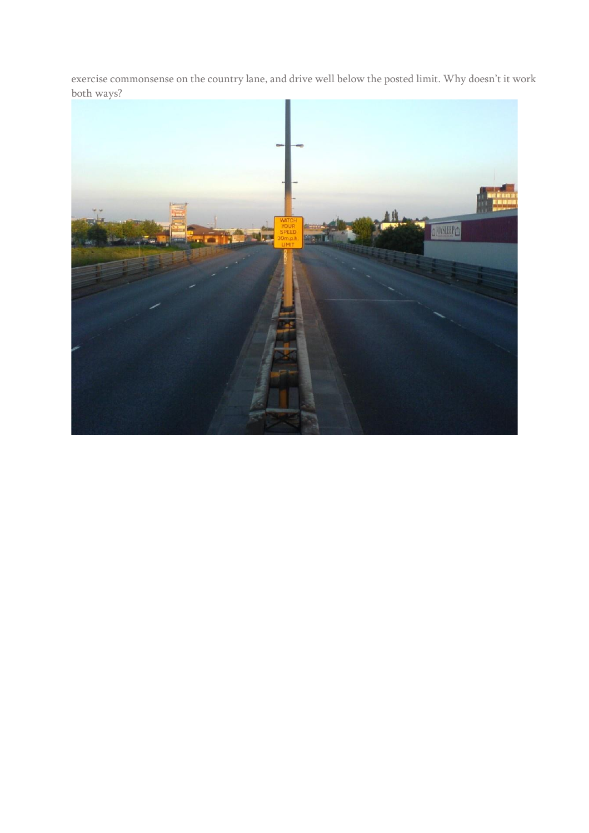exercise commonsense on the country lane, and drive well below the posted limit. Why doesn't it work both ways?

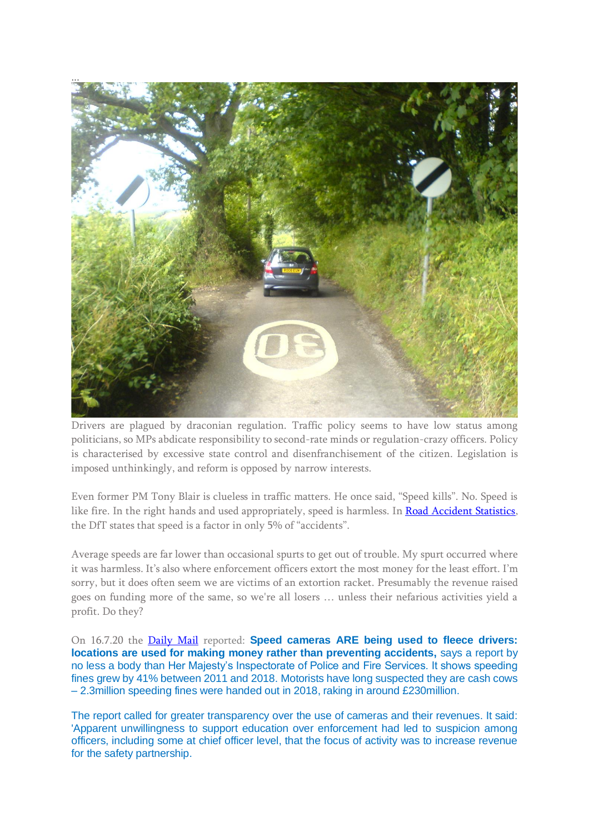

Drivers are plagued by draconian regulation. Traffic policy seems to have low status among politicians, so MPs abdicate responsibility to second-rate minds or regulation-crazy officers. Policy is characterised by excessive state control and disenfranchisement of the citizen. Legislation is imposed unthinkingly, and reform is opposed by narrow interests.

Even former PM Tony Blair is clueless in traffic matters. He once said, "Speed kills". No. Speed is like fire. In the right hands and used appropriately, speed is harmless. In [Road Accident Statistics,](/Users/mac/Desktop/Speed/RAS50001) the DfT states that speed is a factor in only 5% of "accidents".

Average speeds are far lower than occasional spurts to get out of trouble. My spurt occurred where it was harmless. It's also where enforcement officers extort the most money for the least effort. I'm sorry, but it does often seem we are victims of an extortion racket. Presumably the revenue raised goes on funding more of the same, so we're all losers … unless their nefarious activities yield a profit. Do they?

On 16.7.20 the [Daily Mail](https://www.dailymail.co.uk/news/article-8527263/Speed-cameras-used-police-councils-good-hunting-grounds-watchdog-report-reveals.html) reported: **Speed cameras ARE being used to fleece drivers: locations are used for making money rather than preventing accidents, says a report by** no less a body than Her Majesty's Inspectorate of Police and Fire Services. It shows speeding fines grew by 41% between 2011 and 2018. Motorists have long suspected they are cash cows – 2.3million speeding fines were handed out in 2018, raking in around £230million.

The report called for greater transparency over the use of cameras and their revenues. It said: 'Apparent unwillingness to support education over enforcement had led to suspicion among officers, including some at chief officer level, that the focus of activity was to increase revenue for the safety partnership.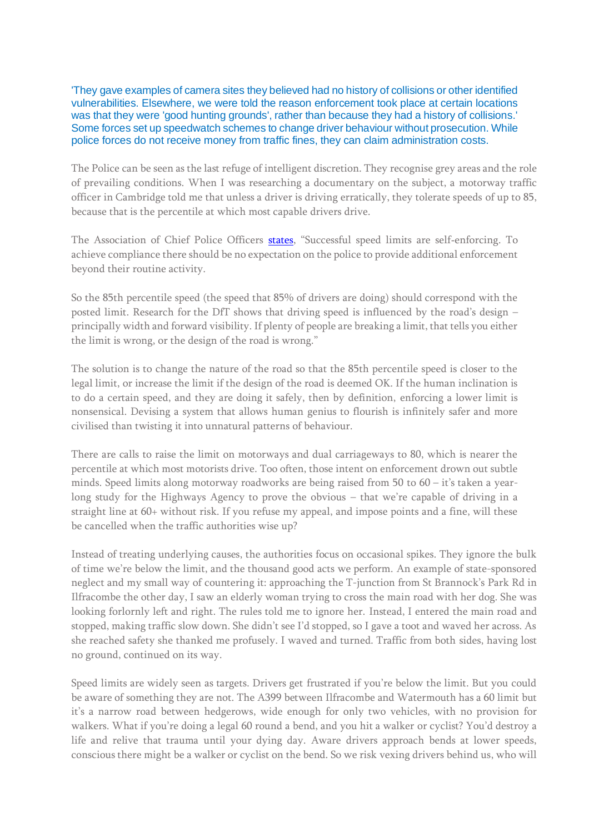'They gave examples of camera sites they believed had no history of collisions or other identified vulnerabilities. Elsewhere, we were told the reason enforcement took place at certain locations was that they were 'good hunting grounds', rather than because they had a history of collisions.' Some forces set up speedwatch schemes to change driver behaviour without prosecution. While police forces do not receive money from traffic fines, they can claim administration costs.

The Police can be seen as the last refuge of intelligent discretion. They recognise grey areas and the role of prevailing conditions. When I was researching a documentary on the subject, a motorway traffic officer in Cambridge told me that unless a driver is driving erratically, they tolerate speeds of up to 85, because that is the percentile at which most capable drivers drive.

The Association of Chief Police Officers [states,](https://roadsafetygb.org.uk/news/acpo-clarifies-position-on-20mph-enforcement-2709/) "Successful speed limits are self-enforcing. To achieve compliance there should be no expectation on the police to provide additional enforcement beyond their routine activity.

So the 85th percentile speed (the speed that 85% of drivers are doing) should correspond with the posted limit. Research for the DfT shows that driving speed is influenced by the road's design – principally width and forward visibility. If plenty of people are breaking a limit, that tells you either the limit is wrong, or the design of the road is wrong."

The solution is to change the nature of the road so that the 85th percentile speed is closer to the legal limit, or increase the limit if the design of the road is deemed OK. If the human inclination is to do a certain speed, and they are doing it safely, then by definition, enforcing a lower limit is nonsensical. Devising a system that allows human genius to flourish is infinitely safer and more civilised than twisting it into unnatural patterns of behaviour.

There are calls to raise the limit on motorways and dual carriageways to 80, which is nearer the percentile at which most motorists drive. Too often, those intent on enforcement drown out subtle minds. Speed limits along motorway roadworks are being raised from 50 to 60 – it's taken a yearlong study for the Highways Agency to prove the obvious – that we're capable of driving in a straight line at 60+ without risk. If you refuse my appeal, and impose points and a fine, will these be cancelled when the traffic authorities wise up?

Instead of treating underlying causes, the authorities focus on occasional spikes. They ignore the bulk of time we're below the limit, and the thousand good acts we perform. An example of state-sponsored neglect and my small way of countering it: approaching the T-junction from St Brannock's Park Rd in Ilfracombe the other day, I saw an elderly woman trying to cross the main road with her dog. She was looking forlornly left and right. The rules told me to ignore her. Instead, I entered the main road and stopped, making traffic slow down. She didn't see I'd stopped, so I gave a toot and waved her across. As she reached safety she thanked me profusely. I waved and turned. Traffic from both sides, having lost no ground, continued on its way.

Speed limits are widely seen as targets. Drivers get frustrated if you're below the limit. But you could be aware of something they are not. The A399 between Ilfracombe and Watermouth has a 60 limit but it's a narrow road between hedgerows, wide enough for only two vehicles, with no provision for walkers. What if you're doing a legal 60 round a bend, and you hit a walker or cyclist? You'd destroy a life and relive that trauma until your dying day. Aware drivers approach bends at lower speeds, conscious there might be a walker or cyclist on the bend. So we risk vexing drivers behind us, who will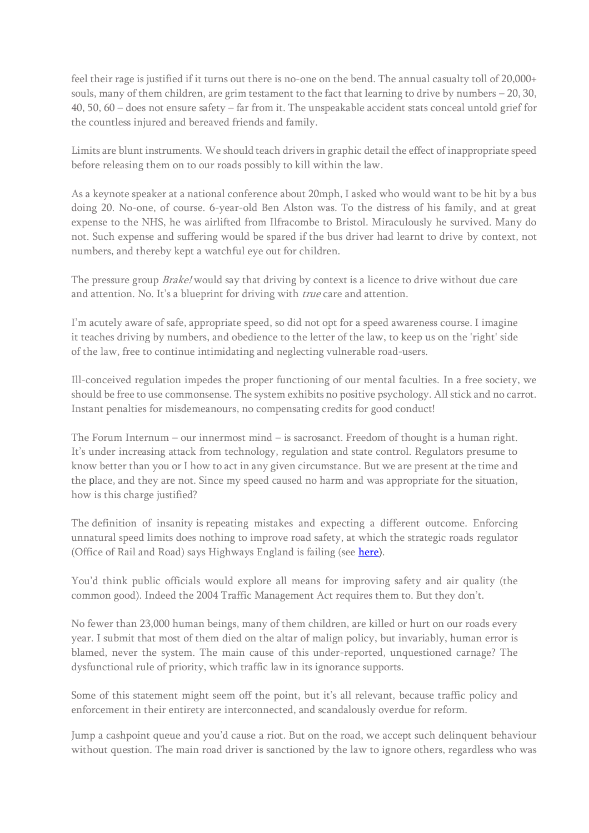feel their rage is justified if it turns out there is no-one on the bend. The annual casualty toll of 20,000+ souls, many of them children, are grim testament to the fact that learning to drive by numbers – 20, 30, 40, 50, 60 – does not ensure safety – far from it. The unspeakable accident stats conceal untold grief for the countless injured and bereaved friends and family.

Limits are blunt instruments. We should teach drivers in graphic detail the effect of inappropriate speed before releasing them on to our roads possibly to kill within the law.

As a keynote speaker at a national conference about 20mph, I asked who would want to be hit by a bus doing 20. No-one, of course. 6-year-old Ben Alston was. To the distress of his family, and at great expense to the NHS, he was airlifted from Ilfracombe to Bristol. Miraculously he survived. Many do not. Such expense and suffering would be spared if the bus driver had learnt to drive by context, not numbers, and thereby kept a watchful eye out for children.

The pressure group *Brake!* would say that driving by context is a licence to drive without due care and attention. No. It's a blueprint for driving with *true* care and attention.

I'm acutely aware of safe, appropriate speed, so did not opt for a speed awareness course. I imagine it teaches driving by numbers, and obedience to the letter of the law, to keep us on the 'right' side of the law, free to continue intimidating and neglecting vulnerable road-users.

Ill-conceived regulation impedes the proper functioning of our mental faculties. In a free society, we should be free to use commonsense. The system exhibits no positive psychology. All stick and no carrot. Instant penalties for misdemeanours, no compensating credits for good conduct!

The Forum Internum – our innermost mind – is sacrosanct. Freedom of thought is a human right. It's under increasing attack from technology, regulation and state control. Regulators presume to know better than you or I how to act in any given circumstance. But we are present at the time and the place, and they are not. Since my speed caused no harm and was appropriate for the situation, how is this charge justified?

The definition of insanity is repeating mistakes and expecting a different outcome. Enforcing unnatural speed limits does nothing to improve road safety, at which the strategic roads regulator (Office of Rail and Road) says Highways England is failing (see [here\)](https://www.transport-network.co.uk/Highways-England-RIS-1-assessment-Safety-record-tarnishes-success/16724).

You'd think public officials would explore all means for improving safety and air quality (the common good). Indeed the 2004 Traffic Management Act requires them to. But they don't.

No fewer than 23,000 human beings, many of them children, are killed or hurt on our roads every year. I submit that most of them died on the altar of malign policy, but invariably, human error is blamed, never the system. The main cause of this under-reported, unquestioned carnage? The dysfunctional rule of priority, which traffic law in its ignorance supports.

Some of this statement might seem off the point, but it's all relevant, because traffic policy and enforcement in their entirety are interconnected, and scandalously overdue for reform.

Jump a cashpoint queue and you'd cause a riot. But on the road, we accept such delinquent behaviour without question. The main road driver is sanctioned by the law to ignore others, regardless who was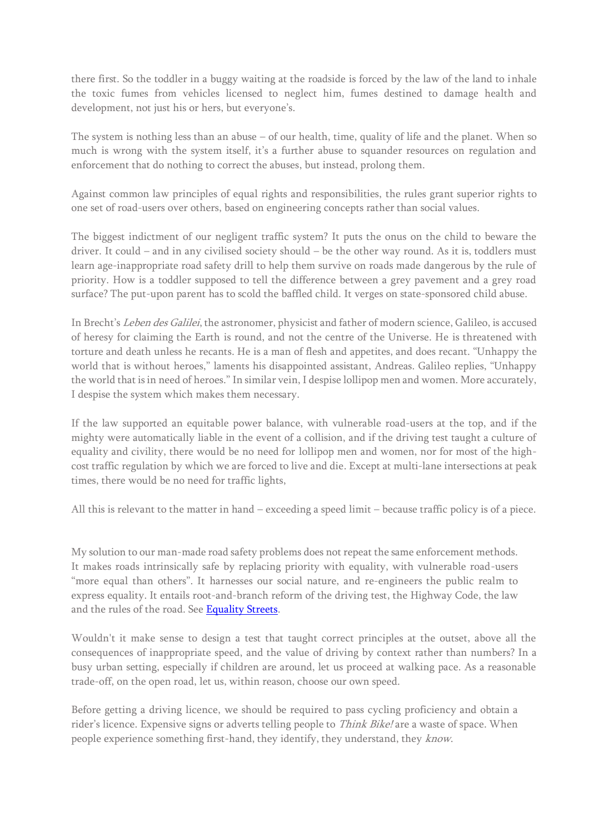there first. So the toddler in a buggy waiting at the roadside is forced by the law of the land to inhale the toxic fumes from vehicles licensed to neglect him, fumes destined to damage health and development, not just his or hers, but everyone's.

The system is nothing less than an abuse – of our health, time, quality of life and the planet. When so much is wrong with the system itself, it's a further abuse to squander resources on regulation and enforcement that do nothing to correct the abuses, but instead, prolong them.

Against common law principles of equal rights and responsibilities, the rules grant superior rights to one set of road-users over others, based on engineering concepts rather than social values.

The biggest indictment of our negligent traffic system? It puts the onus on the child to beware the driver. It could – and in any civilised society should – be the other way round. As it is, toddlers must learn age-inappropriate road safety drill to help them survive on roads made dangerous by the rule of priority. How is a toddler supposed to tell the difference between a grey pavement and a grey road surface? The put-upon parent has to scold the baffled child. It verges on state-sponsored child abuse.

In Brecht's Leben des Galilei, the astronomer, physicist and father of modern science, Galileo, is accused of heresy for claiming the Earth is round, and not the centre of the Universe. He is threatened with torture and death unless he recants. He is a man of flesh and appetites, and does recant. "Unhappy the world that is without heroes," laments his disappointed assistant, Andreas. Galileo replies, "Unhappy the world that is in need of heroes." In similar vein, I despise lollipop men and women. More accurately, I despise the system which makes them necessary.

If the law supported an equitable power balance, with vulnerable road-users at the top, and if the mighty were automatically liable in the event of a collision, and if the driving test taught a culture of equality and civility, there would be no need for lollipop men and women, nor for most of the highcost traffic regulation by which we are forced to live and die. Except at multi-lane intersections at peak times, there would be no need for traffic lights,

All this is relevant to the matter in hand – exceeding a speed limit – because traffic policy is of a piece.

My solution to our man-made road safety problems does not repeat the same enforcement methods. It makes roads intrinsically safe by replacing priority with equality, with vulnerable road-users "more equal than others". It harnesses our social nature, and re-engineers the public realm to express equality. It entails root-and-branch reform of the driving test, the Highway Code, the law and the rules of the road. See [Equality Streets.](http://www.equalitystreets.com/)

Wouldn't it make sense to design a test that taught correct principles at the outset, above all the consequences of inappropriate speed, and the value of driving by context rather than numbers? In a busy urban setting, especially if children are around, let us proceed at walking pace. As a reasonable trade-off, on the open road, let us, within reason, choose our own speed.

Before getting a driving licence, we should be required to pass cycling proficiency and obtain a rider's licence. Expensive signs or adverts telling people to *Think Bike!* are a waste of space. When people experience something first-hand, they identify, they understand, they know.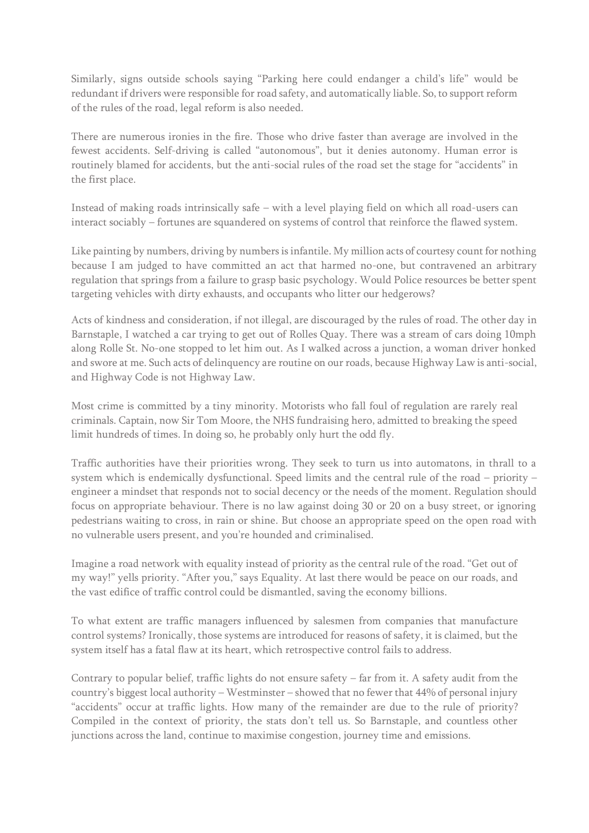Similarly, signs outside schools saying "Parking here could endanger a child's life" would be redundant if drivers were responsible for road safety, and automatically liable. So, to support reform of the rules of the road, legal reform is also needed.

There are numerous ironies in the fire. Those who drive faster than average are involved in the fewest accidents. Self-driving is called "autonomous", but it denies autonomy. Human error is routinely blamed for accidents, but the anti-social rules of the road set the stage for "accidents" in the first place.

Instead of making roads intrinsically safe – with a level playing field on which all road-users can interact sociably – fortunes are squandered on systems of control that reinforce the flawed system.

Like painting by numbers, driving by numbers is infantile. My million acts of courtesy count for nothing because I am judged to have committed an act that harmed no-one, but contravened an arbitrary regulation that springs from a failure to grasp basic psychology. Would Police resources be better spent targeting vehicles with dirty exhausts, and occupants who litter our hedgerows?

Acts of kindness and consideration, if not illegal, are discouraged by the rules of road. The other day in Barnstaple, I watched a car trying to get out of Rolles Quay. There was a stream of cars doing 10mph along Rolle St. No-one stopped to let him out. As I walked across a junction, a woman driver honked and swore at me. Such acts of delinquency are routine on our roads, because Highway Law is anti-social, and Highway Code is not Highway Law.

Most crime is committed by a tiny minority. Motorists who fall foul of regulation are rarely real criminals. Captain, now Sir Tom Moore, the NHS fundraising hero, admitted to breaking the speed limit hundreds of times. In doing so, he probably only hurt the odd fly.

Traffic authorities have their priorities wrong. They seek to turn us into automatons, in thrall to a system which is endemically dysfunctional. Speed limits and the central rule of the road – priority – engineer a mindset that responds not to social decency or the needs of the moment. Regulation should focus on appropriate behaviour. There is no law against doing 30 or 20 on a busy street, or ignoring pedestrians waiting to cross, in rain or shine. But choose an appropriate speed on the open road with no vulnerable users present, and you're hounded and criminalised.

Imagine a road network with equality instead of priority as the central rule of the road. "Get out of my way!" yells priority. "After you," says Equality. At last there would be peace on our roads, and the vast edifice of traffic control could be dismantled, saving the economy billions.

To what extent are traffic managers influenced by salesmen from companies that manufacture control systems? Ironically, those systems are introduced for reasons of safety, it is claimed, but the system itself has a fatal flaw at its heart, which retrospective control fails to address.

Contrary to popular belief, traffic lights do not ensure safety – far from it. A safety audit from the country's biggest local authority – Westminster – showed that no fewer that 44% of personal injury "accidents" occur at traffic lights. How many of the remainder are due to the rule of priority? Compiled in the context of priority, the stats don't tell us. So Barnstaple, and countless other junctions across the land, continue to maximise congestion, journey time and emissions.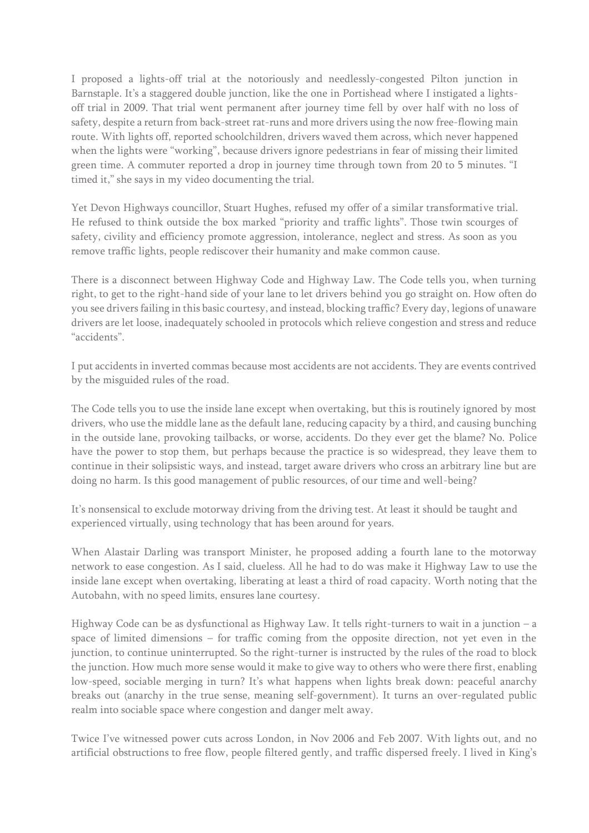I proposed a lights-off trial at the notoriously and needlessly-congested Pilton junction in Barnstaple. It's a staggered double junction, like the one in Portishead where I instigated a lightsoff trial in 2009. That trial went permanent after journey time fell by over half with no loss of safety, despite a return from back-street rat-runs and more drivers using the now free-flowing main route. With lights off, reported schoolchildren, drivers waved them across, which never happened when the lights were "working", because drivers ignore pedestrians in fear of missing their limited green time. A commuter reported a drop in journey time through town from 20 to 5 minutes. "I timed it," she says in my video documenting the trial.

Yet Devon Highways councillor, Stuart Hughes, refused my offer of a similar transformative trial. He refused to think outside the box marked "priority and traffic lights". Those twin scourges of safety, civility and efficiency promote aggression, intolerance, neglect and stress. As soon as you remove traffic lights, people rediscover their humanity and make common cause.

There is a disconnect between Highway Code and Highway Law. The Code tells you, when turning right, to get to the right-hand side of your lane to let drivers behind you go straight on. How often do you see drivers failing in this basic courtesy, and instead, blocking traffic? Every day, legions of unaware drivers are let loose, inadequately schooled in protocols which relieve congestion and stress and reduce "accidents".

I put accidents in inverted commas because most accidents are not accidents. They are events contrived by the misguided rules of the road.

The Code tells you to use the inside lane except when overtaking, but this is routinely ignored by most drivers, who use the middle lane as the default lane, reducing capacity by a third, and causing bunching in the outside lane, provoking tailbacks, or worse, accidents. Do they ever get the blame? No. Police have the power to stop them, but perhaps because the practice is so widespread, they leave them to continue in their solipsistic ways, and instead, target aware drivers who cross an arbitrary line but are doing no harm. Is this good management of public resources, of our time and well-being?

It's nonsensical to exclude motorway driving from the driving test. At least it should be taught and experienced virtually, using technology that has been around for years.

When Alastair Darling was transport Minister, he proposed adding a fourth lane to the motorway network to ease congestion. As I said, clueless. All he had to do was make it Highway Law to use the inside lane except when overtaking, liberating at least a third of road capacity. Worth noting that the Autobahn, with no speed limits, ensures lane courtesy.

Highway Code can be as dysfunctional as Highway Law. It tells right-turners to wait in a junction – a space of limited dimensions – for traffic coming from the opposite direction, not yet even in the junction, to continue uninterrupted. So the right-turner is instructed by the rules of the road to block the junction. How much more sense would it make to give way to others who were there first, enabling low-speed, sociable merging in turn? It's what happens when lights break down: peaceful anarchy breaks out (anarchy in the true sense, meaning self-government). It turns an over-regulated public realm into sociable space where congestion and danger melt away.

Twice I've witnessed power cuts across London, in Nov 2006 and Feb 2007. With lights out, and no artificial obstructions to free flow, people filtered gently, and traffic dispersed freely. I lived in King's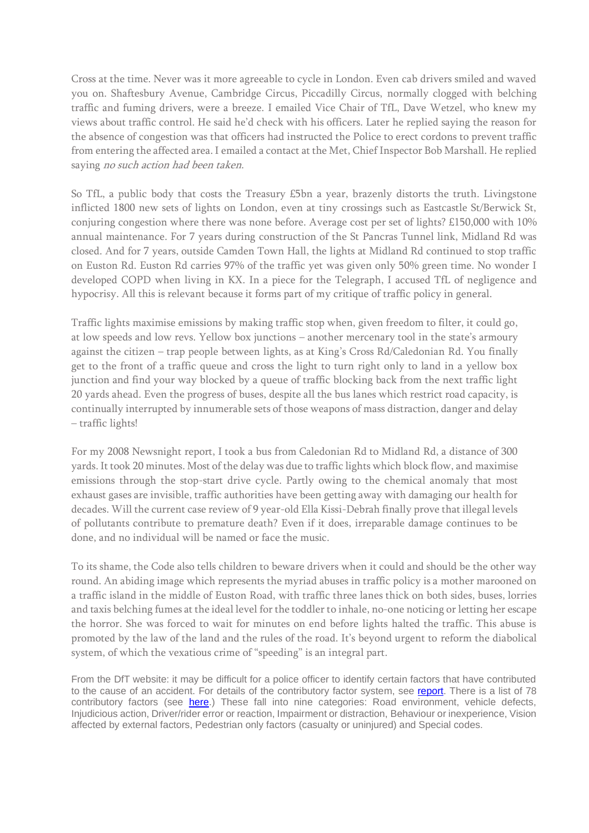Cross at the time. Never was it more agreeable to cycle in London. Even cab drivers smiled and waved you on. Shaftesbury Avenue, Cambridge Circus, Piccadilly Circus, normally clogged with belching traffic and fuming drivers, were a breeze. I emailed Vice Chair of TfL, Dave Wetzel, who knew my views about traffic control. He said he'd check with his officers. Later he replied saying the reason for the absence of congestion was that officers had instructed the Police to erect cordons to prevent traffic from entering the affected area. I emailed a contact at the Met, Chief Inspector Bob Marshall. He replied saying no such action had been taken.

So TfL, a public body that costs the Treasury £5bn a year, brazenly distorts the truth. Livingstone inflicted 1800 new sets of lights on London, even at tiny crossings such as Eastcastle St/Berwick St, conjuring congestion where there was none before. Average cost per set of lights? £150,000 with 10% annual maintenance. For 7 years during construction of the St Pancras Tunnel link, Midland Rd was closed. And for 7 years, outside Camden Town Hall, the lights at Midland Rd continued to stop traffic on Euston Rd. Euston Rd carries 97% of the traffic yet was given only 50% green time. No wonder I developed COPD when living in KX. In a piece for the Telegraph, I accused TfL of negligence and hypocrisy. All this is relevant because it forms part of my critique of traffic policy in general.

Traffic lights maximise emissions by making traffic stop when, given freedom to filter, it could go, at low speeds and low revs. Yellow box junctions – another mercenary tool in the state's armoury against the citizen – trap people between lights, as at King's Cross Rd/Caledonian Rd. You finally get to the front of a traffic queue and cross the light to turn right only to land in a yellow box junction and find your way blocked by a queue of traffic blocking back from the next traffic light 20 yards ahead. Even the progress of buses, despite all the bus lanes which restrict road capacity, is continually interrupted by innumerable sets of those weapons of mass distraction, danger and delay – traffic lights!

For my 2008 Newsnight report, I took a bus from Caledonian Rd to Midland Rd, a distance of 300 yards. It took 20 minutes. Most of the delay was due to traffic lights which block flow, and maximise emissions through the stop-start drive cycle. Partly owing to the chemical anomaly that most exhaust gases are invisible, traffic authorities have been getting away with damaging our health for decades. Will the current case review of 9 year-old Ella Kissi-Debrah finally prove that illegal levels of pollutants contribute to premature death? Even if it does, irreparable damage continues to be done, and no individual will be named or face the music.

To its shame, the Code also tells children to beware drivers when it could and should be the other way round. An abiding image which represents the myriad abuses in traffic policy is a mother marooned on a traffic island in the middle of Euston Road, with traffic three lanes thick on both sides, buses, lorries and taxis belching fumes at the ideal level for the toddler to inhale, no-one noticing or letting her escape the horror. She was forced to wait for minutes on end before lights halted the traffic. This abuse is promoted by the law of the land and the rules of the road. It's beyond urgent to reform the diabolical system, of which the vexatious crime of "speeding" is an integral part.

From the DfT website: it may be difficult for a police officer to identify certain factors that have contributed to the cause of an accident. For details of the contributory factor system, see [report.](https://www.gov.uk/government/statistics/reported-road-casualties-great-britain-annual-report-2011) There is a list of 78 contributory factors (see [here.](https://www.gov.uk/government/publications/road-accidents-and-safety-statistics-guidance)) These fall into nine categories: Road environment, vehicle defects, Injudicious action, Driver/rider error or reaction, Impairment or distraction, Behaviour or inexperience, Vision affected by external factors, Pedestrian only factors (casualty or uninjured) and Special codes.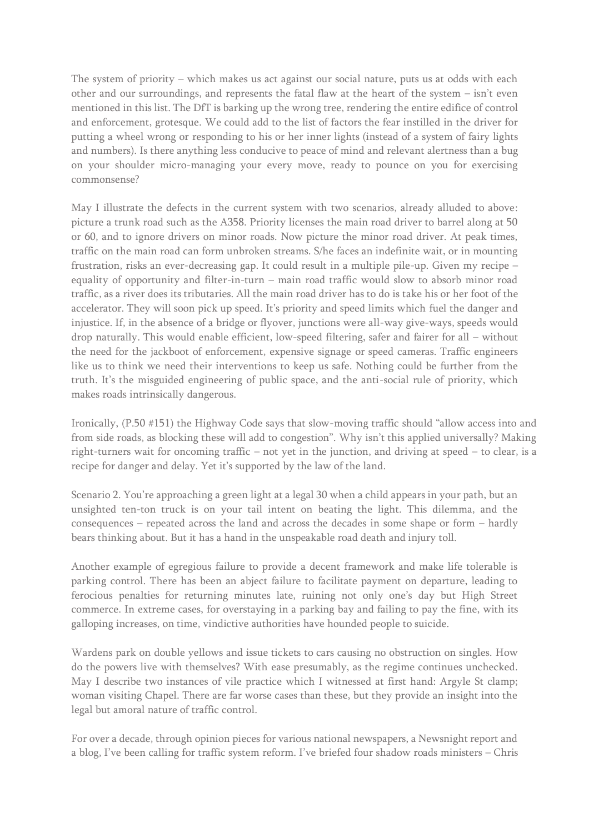The system of priority – which makes us act against our social nature, puts us at odds with each other and our surroundings, and represents the fatal flaw at the heart of the system – isn't even mentioned in this list. The DfT is barking up the wrong tree, rendering the entire edifice of control and enforcement, grotesque. We could add to the list of factors the fear instilled in the driver for putting a wheel wrong or responding to his or her inner lights (instead of a system of fairy lights and numbers). Is there anything less conducive to peace of mind and relevant alertness than a bug on your shoulder micro-managing your every move, ready to pounce on you for exercising commonsense?

May I illustrate the defects in the current system with two scenarios, already alluded to above: picture a trunk road such as the A358. Priority licenses the main road driver to barrel along at 50 or 60, and to ignore drivers on minor roads. Now picture the minor road driver. At peak times, traffic on the main road can form unbroken streams. S/he faces an indefinite wait, or in mounting frustration, risks an ever-decreasing gap. It could result in a multiple pile-up. Given my recipe – equality of opportunity and filter-in-turn – main road traffic would slow to absorb minor road traffic, as a river does its tributaries. All the main road driver has to do is take his or her foot of the accelerator. They will soon pick up speed. It's priority and speed limits which fuel the danger and injustice. If, in the absence of a bridge or flyover, junctions were all-way give-ways, speeds would drop naturally. This would enable efficient, low-speed filtering, safer and fairer for all – without the need for the jackboot of enforcement, expensive signage or speed cameras. Traffic engineers like us to think we need their interventions to keep us safe. Nothing could be further from the truth. It's the misguided engineering of public space, and the anti-social rule of priority, which makes roads intrinsically dangerous.

Ironically, (P.50 #151) the Highway Code says that slow-moving traffic should "allow access into and from side roads, as blocking these will add to congestion". Why isn't this applied universally? Making right-turners wait for oncoming traffic – not yet in the junction, and driving at speed – to clear, is a recipe for danger and delay. Yet it's supported by the law of the land.

Scenario 2. You're approaching a green light at a legal 30 when a child appears in your path, but an unsighted ten-ton truck is on your tail intent on beating the light. This dilemma, and the consequences – repeated across the land and across the decades in some shape or form – hardly bears thinking about. But it has a hand in the unspeakable road death and injury toll.

Another example of egregious failure to provide a decent framework and make life tolerable is parking control. There has been an abject failure to facilitate payment on departure, leading to ferocious penalties for returning minutes late, ruining not only one's day but High Street commerce. In extreme cases, for overstaying in a parking bay and failing to pay the fine, with its galloping increases, on time, vindictive authorities have hounded people to suicide.

Wardens park on double yellows and issue tickets to cars causing no obstruction on singles. How do the powers live with themselves? With ease presumably, as the regime continues unchecked. May I describe two instances of vile practice which I witnessed at first hand: Argyle St clamp; woman visiting Chapel. There are far worse cases than these, but they provide an insight into the legal but amoral nature of traffic control.

For over a decade, through opinion pieces for various national newspapers, a Newsnight report and a blog, I've been calling for traffic system reform. I've briefed four shadow roads ministers – Chris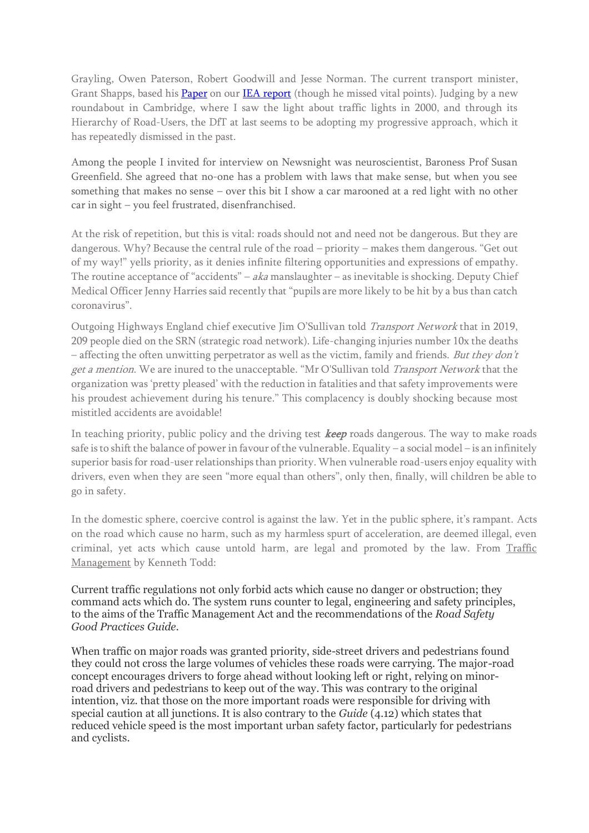Grayling, Owen Paterson, Robert Goodwill and Jesse Norman. The current transport minister, Grant Shapps, based his **[Paper](http://www.britishinfrastructuregroup.uk/wp-content/uploads/2016/10/Were-Jammin-Confidential-Copy-V-1.9.pdf)** on ou[r IEA report](https://iea.org.uk/wp-content/uploads/2016/07/IEA%20Seeing%20Red%20-%20Traffic%20Controls%20and%20the%20Economy.pdf) (though he missed vital points). Judging by a new roundabout in Cambridge, where I saw the light about traffic lights in 2000, and through its Hierarchy of Road-Users, the DfT at last seems to be adopting my progressive approach, which it has repeatedly dismissed in the past.

Among the people I invited for interview on Newsnight was neuroscientist, Baroness Prof Susan Greenfield. She agreed that no-one has a problem with laws that make sense, but when you see something that makes no sense – over this bit I show a car marooned at a red light with no other car in sight – you feel frustrated, disenfranchised.

At the risk of repetition, but this is vital: roads should not and need not be dangerous. But they are dangerous. Why? Because the central rule of the road – priority – makes them dangerous. "Get out of my way!" yells priority, as it denies infinite filtering opportunities and expressions of empathy. The routine acceptance of "accidents" – aka manslaughter – as inevitable is shocking. Deputy Chief Medical Officer Jenny Harries said recently that "pupils are more likely to be hit by a bus than catch coronavirus".

Outgoing Highways England chief executive Jim O'Sullivan told Transport Network that in 2019, 209 people died on the SRN (strategic road network). Life-changing injuries number 10x the deaths  $-$  affecting the often unwitting perpetrator as well as the victim, family and friends. But they don't get a mention. We are inured to the unacceptable. "Mr O'Sullivan told Transport Network that the organization was 'pretty pleased' with the reduction in fatalities and that safety improvements were his proudest achievement during his tenure." This complacency is doubly shocking because most mistitled accidents are avoidable!

In teaching priority, public policy and the driving test **keep** roads dangerous. The way to make roads safe is to shift the balance of power in favour of the vulnerable. Equality – a social model – is an infinitely superior basis for road-user relationships than priority. When vulnerable road-users enjoy equality with drivers, even when they are seen "more equal than others", only then, finally, will children be able to go in safety.

In the domestic sphere, coercive control is against the law. Yet in the public sphere, it's rampant. Acts on the road which cause no harm, such as my harmless spurt of acceleration, are deemed illegal, even criminal, yet acts which cause untold harm, are legal and promoted by the law. From [Traffic](https://www.equalitystreets.com/presspublications/1795-2/)  [Management](https://www.equalitystreets.com/presspublications/1795-2/) by Kenneth Todd:

Current traffic regulations not only forbid acts which cause no danger or obstruction; they command acts which do. The system runs counter to legal, engineering and safety principles, to the aims of the Traffic Management Act and the recommendations of the *Road Safety Good Practices Guide.*

When traffic on major roads was granted priority, side-street drivers and pedestrians found they could not cross the large volumes of vehicles these roads were carrying. The major-road concept encourages drivers to forge ahead without looking left or right, relying on minorroad drivers and pedestrians to keep out of the way. This was contrary to the original intention, viz. that those on the more important roads were responsible for driving with special caution at all junctions. It is also contrary to the *Guide* (4.12) which states that reduced vehicle speed is the most important urban safety factor, particularly for pedestrians and cyclists.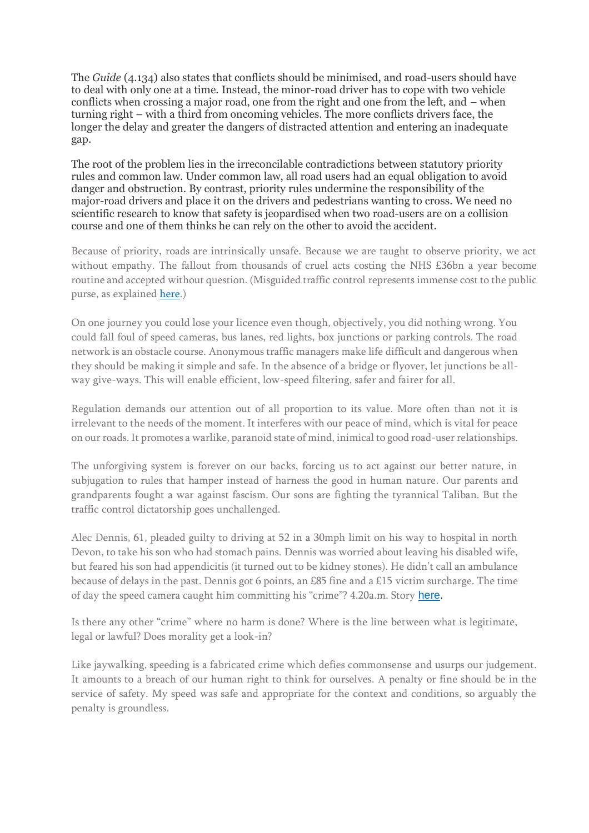The *Guide* (4.134) also states that conflicts should be minimised, and road-users should have to deal with only one at a time. Instead, the minor-road driver has to cope with two vehicle conflicts when crossing a major road, one from the right and one from the left, and – when turning right – with a third from oncoming vehicles. The more conflicts drivers face, the longer the delay and greater the dangers of distracted attention and entering an inadequate gap.

The root of the problem lies in the irreconcilable contradictions between statutory priority rules and common law. Under common law, all road users had an equal obligation to avoid danger and obstruction. By contrast, priority rules undermine the responsibility of the major-road drivers and place it on the drivers and pedestrians wanting to cross. We need no scientific research to know that safety is jeopardised when two road-users are on a collision course and one of them thinks he can rely on the other to avoid the accident.

Because of priority, roads are intrinsically unsafe. Because we are taught to observe priority, we act without empathy. The fallout from thousands of cruel acts costing the NHS £36bn a year become routine and accepted without question. (Misguided traffic control represents immense cost to the public purse, as explained [here.](https://www.equalitystreets.com/wp-content/uploads/2019/03/Cost-of-inequality.pdf))

On one journey you could lose your licence even though, objectively, you did nothing wrong. You could fall foul of speed cameras, bus lanes, red lights, box junctions or parking controls. The road network is an obstacle course. Anonymous traffic managers make life difficult and dangerous when they should be making it simple and safe. In the absence of a bridge or flyover, let junctions be allway give-ways. This will enable efficient, low-speed filtering, safer and fairer for all.

Regulation demands our attention out of all proportion to its value. More often than not it is irrelevant to the needs of the moment. It interferes with our peace of mind, which is vital for peace on our roads. It promotes a warlike, paranoid state of mind, inimical to good road-user relationships.

The unforgiving system is forever on our backs, forcing us to act against our better nature, in subjugation to rules that hamper instead of harness the good in human nature. Our parents and grandparents fought a war against fascism. Our sons are fighting the tyrannical Taliban. But the traffic control dictatorship goes unchallenged.

Alec Dennis, 61, pleaded guilty to driving at 52 in a 30mph limit on his way to hospital in north Devon, to take his son who had stomach pains. Dennis was worried about leaving his disabled wife, but feared his son had appendicitis (it turned out to be kidney stones). He didn't call an ambulance because of delays in the past. Dennis got 6 points, an £85 fine and a £15 victim surcharge. The time of day the speed camera caught him committing his "crime"? 4.20a.m. Story [here.](http://www.thisisnorthdevon.co.uk/Driver-s-fear-son-caused-speed/story-16634648-detail/story.html)

Is there any other "crime" where no harm is done? Where is the line between what is legitimate, legal or lawful? Does morality get a look-in?

Like jaywalking, speeding is a fabricated crime which defies commonsense and usurps our judgement. It amounts to a breach of our human right to think for ourselves. A penalty or fine should be in the service of safety. My speed was safe and appropriate for the context and conditions, so arguably the penalty is groundless.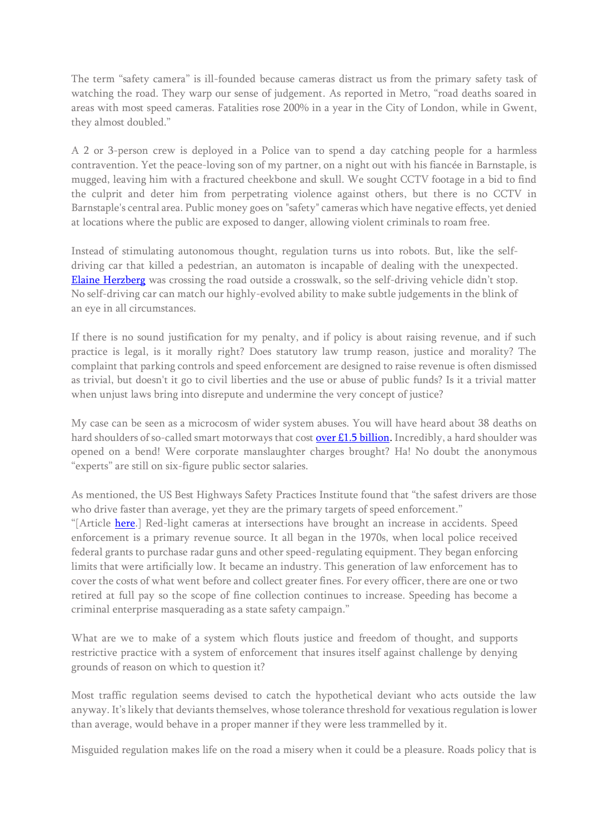The term "safety camera" is ill-founded because cameras distract us from the primary safety task of watching the road. They warp our sense of judgement. As reported in Metro, "road deaths soared in areas with most speed cameras. Fatalities rose 200% in a year in the City of London, while in Gwent, they almost doubled."

A 2 or 3-person crew is deployed in a Police van to spend a day catching people for a harmless contravention. Yet the peace-loving son of my partner, on a night out with his fiancée in Barnstaple, is mugged, leaving him with a fractured cheekbone and skull. We sought CCTV footage in a bid to find the culprit and deter him from perpetrating violence against others, but there is no CCTV in Barnstaple's central area. Public money goes on "safety" cameras which have negative effects, yet denied at locations where the public are exposed to danger, allowing violent criminals to roam free.

Instead of stimulating autonomous thought, regulation turns us into robots. But, like the selfdriving car that killed a pedestrian, an automaton is incapable of dealing with the unexpected. [Elaine Herzberg](https://en.wikipedia.org/wiki/Death_of_Elaine_Herzberg) was crossing the road outside a crosswalk, so the self-driving vehicle didn't stop. No self-driving car can match our highly-evolved ability to make subtle judgements in the blink of an eye in all circumstances.

If there is no sound justification for my penalty, and if policy is about raising revenue, and if such practice is legal, is it morally right? Does statutory law trump reason, justice and morality? The complaint that parking controls and speed enforcement are designed to raise revenue is often dismissed as trivial, but doesn't it go to civil liberties and the use or abuse of public funds? Is it a trivial matter when unjust laws bring into disrepute and undermine the very concept of justice?

My case can be seen as a microcosm of wider system abuses. You will have heard about 38 deaths on hard shoulders of so-called smart motorways that cost [over £1.5 billion.](https://www.gov.uk/government/news/over-15-billion-of-investment-awarded-to-upgrade-motorways-in-england) Incredibly, a hard shoulder was opened on a bend! Were corporate manslaughter charges brought? Ha! No doubt the anonymous "experts" are still on six-figure public sector salaries.

As mentioned, the US Best Highways Safety Practices Institute found that "the safest drivers are those who drive faster than average, yet they are the primary targets of speed enforcement." "[Article [here.](https://eu.timesrecordnews.com/story/news/local/2019/09/02/nonprofit-said-speed-related-accident-data-wrong/2178355001/)] Red-light cameras at intersections have brought an increase in accidents. Speed enforcement is a primary revenue source. It all began in the 1970s, when local police received federal grants to purchase radar guns and other speed-regulating equipment. They began enforcing limits that were artificially low. It became an industry. This generation of law enforcement has to cover the costs of what went before and collect greater fines. For every officer, there are one or two retired at full pay so the scope of fine collection continues to increase. Speeding has become a criminal enterprise masquerading as a state safety campaign."

What are we to make of a system which flouts justice and freedom of thought, and supports restrictive practice with a system of enforcement that insures itself against challenge by denying grounds of reason on which to question it?

Most traffic regulation seems devised to catch the hypothetical deviant who acts outside the law anyway. It's likely that deviants themselves, whose tolerance threshold for vexatious regulation is lower than average, would behave in a proper manner if they were less trammelled by it.

Misguided regulation makes life on the road a misery when it could be a pleasure. Roads policy that is